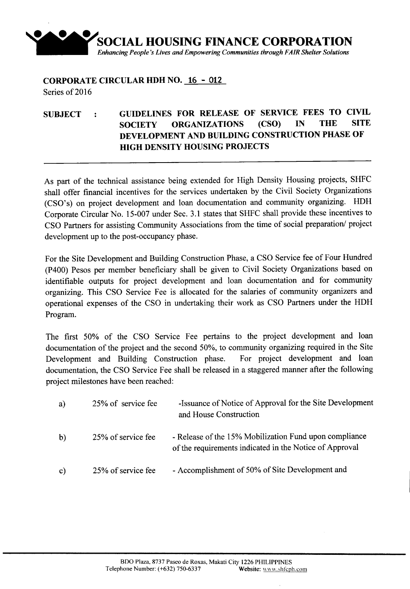

## **CORPORATE CIRCULAR HDH NO. 16 - 012** Series of 2016

## **SUBJECT GUIDELINES FOR RELEASE OF SERVICE FEES TO CIVIL SOCIETY ORGANIZATIONS (CSO) DEVELOPMENT AND BUILDING CONSTRUCTION PHASE OF HIGH DENSITY HOUSING PROJECTS**

As part of the technical assistance being extended for High Density Housing projects, SHFC shall offer financial incentives for the services undertaken by the Civil Society Organizations (CSO's) on project development and loan documentation and community organizing. HDH Corporate Circular No. IS-007 under Sec. 3.1 states that SHFC shall provide these incentives to CSO Partners for assisting Community Associations from the time of social preparation/ project development up to the post-occupancy phase.

For the Site Development and Building Construction Phase, a CSO Service fee of Four Hundred (P400) Pesos per member beneficiary shall be given to Civil Society Organizations based on identifiable outputs for project development and loan documentation and for community organizing. This CSO Service Fee is allocated for the salaries of community organizers and operational expenses of the CSO in undertaking their work as CSO Partners under the HDH Program.

The first SO% of the CSO Service Fee pertains to the project development and loan documentation of the project and the second 50%, to community organizing required in the Site Development and Building Construction phase. For project development and loan documentation, the CSO Service Fee shall be released in a staggered manner after the following project milestones have been reached:

| a)           | 25% of service fee | -Issuance of Notice of Approval for the Site Development<br>and House Construction                                |
|--------------|--------------------|-------------------------------------------------------------------------------------------------------------------|
| $\mathbf{b}$ | 25% of service fee | - Release of the 15% Mobilization Fund upon compliance<br>of the requirements indicated in the Notice of Approval |
| $\mathbf{c}$ | 25% of service fee | - Accomplishment of 50% of Site Development and                                                                   |